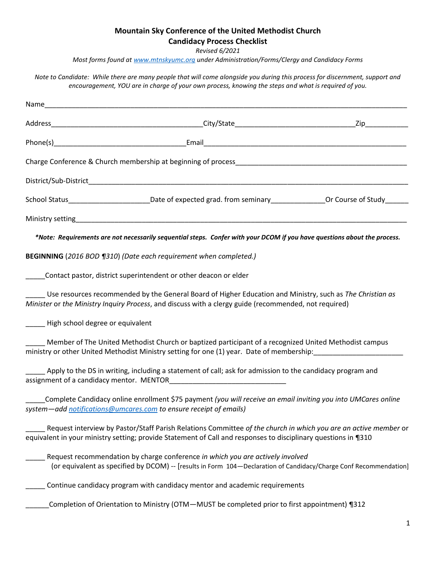# **Mountain Sky Conference of the United Methodist Church**

## **Candidacy Process Checklist**

*Revised 6/2021*

*Most forms found a[t www.mtnskyumc.org](http://www.mtnskyumc.org/) under Administration/Forms/Clergy and Candidacy Forms*

*Note to Candidate: While there are many people that will come alongside you during this process for discernment, support and encouragement, YOU are in charge of your own process, knowing the steps and what is required of you.* 

|                                  | School Status___________________________Date of expected grad. from seminary_________________Or Course of Study_______                                                                                                            |  |
|----------------------------------|-----------------------------------------------------------------------------------------------------------------------------------------------------------------------------------------------------------------------------------|--|
|                                  |                                                                                                                                                                                                                                   |  |
|                                  | *Note: Requirements are not necessarily sequential steps. Confer with your DCOM if you have questions about the process.                                                                                                          |  |
|                                  | BEGINNING (2016 BOD ¶310) (Date each requirement when completed.)                                                                                                                                                                 |  |
|                                  | Contact pastor, district superintendent or other deacon or elder                                                                                                                                                                  |  |
|                                  | Use resources recommended by the General Board of Higher Education and Ministry, such as The Christian as<br>Minister or the Ministry Inquiry Process, and discuss with a clergy guide (recommended, not required)                |  |
| High school degree or equivalent |                                                                                                                                                                                                                                   |  |
|                                  | Member of The United Methodist Church or baptized participant of a recognized United Methodist campus                                                                                                                             |  |
|                                  | Apply to the DS in writing, including a statement of call; ask for admission to the candidacy program and<br>assignment of a candidacy mentor. MENTOR                                                                             |  |
|                                  | Complete Candidacy online enrollment \$75 payment (you will receive an email inviting you into UMCares online<br>system-add notifications@umcares.com to ensure receipt of emails)                                                |  |
|                                  | Request interview by Pastor/Staff Parish Relations Committee of the church in which you are an active member or<br>equivalent in your ministry setting; provide Statement of Call and responses to disciplinary questions in ¶310 |  |
|                                  | Request recommendation by charge conference in which you are actively involved<br>(or equivalent as specified by DCOM) -- [results in Form 104-Declaration of Candidacy/Charge Conf Recommendation]                               |  |
|                                  | Continue candidacy program with candidacy mentor and academic requirements                                                                                                                                                        |  |
|                                  | Completion of Orientation to Ministry (OTM-MUST be completed prior to first appointment) [312]                                                                                                                                    |  |
|                                  |                                                                                                                                                                                                                                   |  |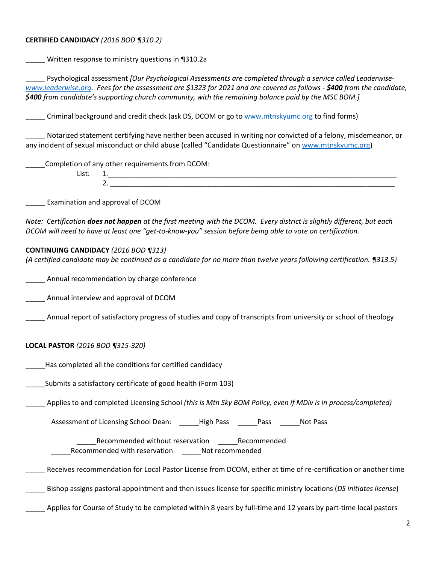### **CERTIFIED CANDIDACY** *(2016 BOD ¶310.2)*

Written response to ministry questions in ¶310.2a

Psychological assessment *[Our Psychological Assessments are completed through a service called Leaderwise[www.leaderwise.org.](http://www.leaderwise.org/) Fees for the assessment are \$1323 for 2021 and are covered as follows - \$400 from the candidate, \$400 from candidate's supporting church community, with the remaining balance paid by the MSC BOM.]*

Criminal background and credit check (ask DS, DCOM or go to [www.mtnskyumc.org](http://www.mtnskyumc.org/) to find forms)

\_\_\_\_\_ Notarized statement certifying have neither been accused in writing nor convicted of a felony, misdemeanor, or any incident of sexual misconduct or child abuse (called "Candidate Questionnaire" on [www.mtnskyumc.org\)](http://www.mtnskyumc.org/)

\_\_\_\_\_Completion of any other requirements from DCOM:

List: 1.  $2.$ 

\_\_\_\_\_ Examination and approval of DCOM

*Note: Certification does not happen at the first meeting with the DCOM. Every district is slightly different, but each DCOM will need to have at least one "get-to-know-you" session before being able to vote on certification.*

#### **CONTINUING CANDIDACY** *(2016 BOD ¶313)*

*(A certified candidate may be continued as a candidate for no more than twelve years following certification. ¶313.5)*

\_\_\_\_\_ Annual recommendation by charge conference

\_\_\_\_\_ Annual interview and approval of DCOM

\_\_\_\_\_ Annual report of satisfactory progress of studies and copy of transcripts from university or school of theology

### **LOCAL PASTOR** *(2016 BOD ¶315-320)*

Has completed all the conditions for certified candidacy

Submits a satisfactory certificate of good health (Form 103)

\_\_\_\_\_ Applies to and completed Licensing School *(this is Mtn Sky BOM Policy, even if MDiv is in process/completed)*

Assessment of Licensing School Dean: \_\_\_\_\_High Pass \_\_\_\_\_\_Pass \_\_\_\_\_\_Not Pass

\_\_\_\_\_Recommended without reservation \_\_\_\_\_Recommended \_\_\_\_\_Recommended with reservation \_\_\_\_\_Not recommended

Receives recommendation for Local Pastor License from DCOM, either at time of re-certification or another time

\_\_\_\_\_ Bishop assigns pastoral appointment and then issues license for specific ministry locations (*DS initiates license*)

\_\_\_\_\_ Applies for Course of Study to be completed within 8 years by full-time and 12 years by part-time local pastors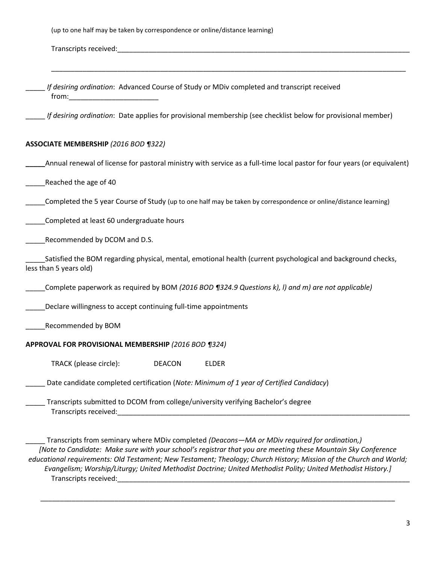| If desiring ordination: Advanced Course of Study or MDiv completed and transcript received                                                                                                                                                                                                                                          |  |
|-------------------------------------------------------------------------------------------------------------------------------------------------------------------------------------------------------------------------------------------------------------------------------------------------------------------------------------|--|
| If desiring ordination: Date applies for provisional membership (see checklist below for provisional member)                                                                                                                                                                                                                        |  |
| <b>ASSOCIATE MEMBERSHIP (2016 BOD ¶322)</b>                                                                                                                                                                                                                                                                                         |  |
| Annual renewal of license for pastoral ministry with service as a full-time local pastor for four years (or equivalent)                                                                                                                                                                                                             |  |
| Reached the age of 40                                                                                                                                                                                                                                                                                                               |  |
| Completed the 5 year Course of Study (up to one half may be taken by correspondence or online/distance learning)                                                                                                                                                                                                                    |  |
| Completed at least 60 undergraduate hours                                                                                                                                                                                                                                                                                           |  |
| Recommended by DCOM and D.S.                                                                                                                                                                                                                                                                                                        |  |
| Satisfied the BOM regarding physical, mental, emotional health (current psychological and background checks,<br>less than 5 years old)                                                                                                                                                                                              |  |
| Complete paperwork as required by BOM (2016 BOD 1324.9 Questions k), I) and m) are not applicable)                                                                                                                                                                                                                                  |  |
| Declare willingness to accept continuing full-time appointments                                                                                                                                                                                                                                                                     |  |
| Recommended by BOM                                                                                                                                                                                                                                                                                                                  |  |
| APPROVAL FOR PROVISIONAL MEMBERSHIP (2016 BOD ¶324)                                                                                                                                                                                                                                                                                 |  |
| TRACK (please circle):<br><b>ELDER</b><br><b>DEACON</b>                                                                                                                                                                                                                                                                             |  |
| Date candidate completed certification (Note: Minimum of 1 year of Certified Candidacy)                                                                                                                                                                                                                                             |  |
| Transcripts submitted to DCOM from college/university verifying Bachelor's degree<br><b>Transcripts received:</b> Transcripts are all the set of the set of the set of the set of the set of the set of the set of the set of the set of the set of the set of the set of the set of the set of the set of the set of th            |  |
| Transcripts from seminary where MDiv completed (Deacons-MA or MDiv required for ordination,)<br>[Note to Candidate: Make sure with your school's registrar that you are meeting these Mountain Sky Conference<br>educational requirements: Old Testament; New Testament; Theology; Church History; Mission of the Church and World; |  |

*Evangelism; Worship/Liturgy; United Methodist Doctrine; United Methodist Polity; United Methodist History.]* Transcripts received:\_\_\_\_\_\_\_\_\_\_\_\_\_\_\_\_\_\_\_\_\_\_\_\_\_\_\_\_\_\_\_\_\_\_\_\_\_\_\_\_\_\_\_\_\_\_\_\_\_\_\_\_\_\_\_\_\_\_\_\_\_\_\_\_\_\_\_\_\_\_\_\_\_\_\_

\_\_\_\_\_\_\_\_\_\_\_\_\_\_\_\_\_\_\_\_\_\_\_\_\_\_\_\_\_\_\_\_\_\_\_\_\_\_\_\_\_\_\_\_\_\_\_\_\_\_\_\_\_\_\_\_\_\_\_\_\_\_\_\_\_\_\_\_\_\_\_\_\_\_\_\_\_\_\_\_\_\_\_\_\_\_\_\_\_\_\_